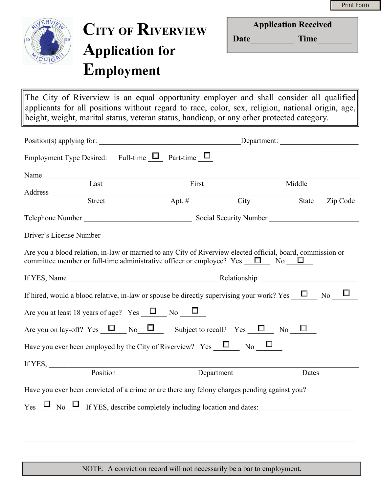

# **CITY OF RIVERVIEW Application for Employment**

Date Time

The City of Riverview is an equal opportunity employer and shall consider all qualified applicants for all positions without regard to race, color, sex, religion, national origin, age, height, weight, marital status, veteran status, handicap, or any other protected category.

|                                                                                                                                                                                                             | Department:                       |      |                                                      |        |
|-------------------------------------------------------------------------------------------------------------------------------------------------------------------------------------------------------------|-----------------------------------|------|------------------------------------------------------|--------|
| Employment Type Desired: Full-time $\Box$ Part-time $\Box$                                                                                                                                                  |                                   |      |                                                      |        |
| Name                                                                                                                                                                                                        |                                   |      |                                                      |        |
| $\overline{\text{Last}}$                                                                                                                                                                                    | First                             |      | Middle                                               |        |
| Address Street                                                                                                                                                                                              | $\overline{$ Apt. # $\overline{}$ | City | $\frac{1}{\text{State}}$ $\frac{1}{\text{Zip Code}}$ |        |
|                                                                                                                                                                                                             |                                   |      |                                                      |        |
| Driver's License Number                                                                                                                                                                                     |                                   |      |                                                      |        |
| Are you a blood relation, in-law or married to any City of Riverview elected official, board, commission or<br>committee member or full-time administrative officer or employee? Yes $\square$ No $\square$ |                                   |      |                                                      |        |
|                                                                                                                                                                                                             |                                   |      |                                                      |        |
| If hired, would a blood relative, in-law or spouse be directly supervising your work? Yes $\Box$ No                                                                                                         |                                   |      |                                                      | $\Box$ |
| Are you at least 18 years of age? Yes $\Box$ No $\Box$                                                                                                                                                      |                                   |      |                                                      |        |
| Are you on lay-off? Yes $\Box$ No $\Box$ Subject to recall? Yes $\Box$ No $\Box$                                                                                                                            |                                   |      |                                                      |        |
| Have you ever been employed by the City of Riverview? Yes $\Box$ No $\Box$                                                                                                                                  |                                   |      |                                                      |        |
| If YES, $\qquad \qquad$                                                                                                                                                                                     |                                   |      |                                                      |        |
| Position                                                                                                                                                                                                    | Department                        |      | Dates                                                |        |
| Have you ever been convicted of a crime or are there any felony charges pending against you?                                                                                                                |                                   |      |                                                      |        |
|                                                                                                                                                                                                             |                                   |      |                                                      |        |
|                                                                                                                                                                                                             |                                   |      |                                                      |        |
|                                                                                                                                                                                                             |                                   |      |                                                      |        |

NOTE: A conviction record will not necessarily be a bar to employment.

 $\_$  , and the contribution of the contribution of the contribution of the contribution of the contribution of  $\mathcal{L}_\text{max}$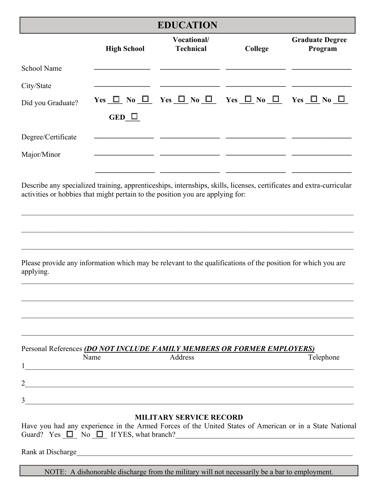#### **EDUCATION**

|                                                                                                                                                                                                        |                    | LIUUCALIUI                      |                                                                                     |                                   |
|--------------------------------------------------------------------------------------------------------------------------------------------------------------------------------------------------------|--------------------|---------------------------------|-------------------------------------------------------------------------------------|-----------------------------------|
|                                                                                                                                                                                                        | <b>High School</b> | Vocational/<br><b>Technical</b> | College                                                                             | <b>Graduate Degree</b><br>Program |
| School Name                                                                                                                                                                                            |                    |                                 |                                                                                     |                                   |
| City/State                                                                                                                                                                                             |                    |                                 |                                                                                     |                                   |
| Did you Graduate?                                                                                                                                                                                      |                    |                                 | Yes $\Box$ No $\Box$ Yes $\Box$ No $\Box$ Yes $\Box$ No $\Box$ Yes $\Box$ No $\Box$ |                                   |
|                                                                                                                                                                                                        | GED $\Box$         |                                 |                                                                                     |                                   |
| Degree/Certificate                                                                                                                                                                                     |                    |                                 |                                                                                     |                                   |
| Major/Minor                                                                                                                                                                                            |                    |                                 |                                                                                     |                                   |
|                                                                                                                                                                                                        |                    |                                 |                                                                                     |                                   |
| Describe any specialized training, apprenticeships, internships, skills, licenses, certificates and extra-curricular<br>activities or hobbies that might pertain to the position you are applying for: |                    |                                 |                                                                                     |                                   |

| Please provide any information which may be relevant to the qualifications of the position for which you are |  |  |  |  |
|--------------------------------------------------------------------------------------------------------------|--|--|--|--|
| applying.                                                                                                    |  |  |  |  |

 $\mathcal{L}_\mathcal{L} = \mathcal{L}_\mathcal{L} = \mathcal{L}_\mathcal{L} = \mathcal{L}_\mathcal{L} = \mathcal{L}_\mathcal{L} = \mathcal{L}_\mathcal{L} = \mathcal{L}_\mathcal{L} = \mathcal{L}_\mathcal{L} = \mathcal{L}_\mathcal{L} = \mathcal{L}_\mathcal{L} = \mathcal{L}_\mathcal{L} = \mathcal{L}_\mathcal{L} = \mathcal{L}_\mathcal{L} = \mathcal{L}_\mathcal{L} = \mathcal{L}_\mathcal{L} = \mathcal{L}_\mathcal{L} = \mathcal{L}_\mathcal{L}$ 

 $\_$  , and the contribution of the contribution of the contribution of the contribution of the contribution of  $\mathcal{L}_\text{max}$ 

 $\_$  , and the contribution of the contribution of the contribution of the contribution of the contribution of  $\mathcal{L}_\text{max}$ 

 $\_$  , and the contribution of the contribution of the contribution of the contribution of the contribution of  $\mathcal{L}_\text{max}$ 

 $\mathcal{L}_\mathcal{L} = \mathcal{L}_\mathcal{L} = \mathcal{L}_\mathcal{L} = \mathcal{L}_\mathcal{L} = \mathcal{L}_\mathcal{L} = \mathcal{L}_\mathcal{L} = \mathcal{L}_\mathcal{L} = \mathcal{L}_\mathcal{L} = \mathcal{L}_\mathcal{L} = \mathcal{L}_\mathcal{L} = \mathcal{L}_\mathcal{L} = \mathcal{L}_\mathcal{L} = \mathcal{L}_\mathcal{L} = \mathcal{L}_\mathcal{L} = \mathcal{L}_\mathcal{L} = \mathcal{L}_\mathcal{L} = \mathcal{L}_\mathcal{L}$ 

 $\_$  , and the contribution of the contribution of the contribution of the contribution of the contribution of  $\mathcal{L}_\text{max}$ 

 $\_$  , and the contribution of the contribution of the contribution of the contribution of the contribution of  $\mathcal{L}_\text{max}$ 

#### Personal References *(DO NOT INCLUDE FAMILY MEMBERS OR FORMER EMPLOYERS)*

|              | Name | Address | Telephone |
|--------------|------|---------|-----------|
| ി<br>∸       |      |         |           |
| $\mathbf{a}$ |      |         |           |

### **MILITARY SERVICE RECORD**

| Have you had any experience in the Armed Forces of the United States of American or in a State National |
|---------------------------------------------------------------------------------------------------------|
| Guard? Yes $\Box$ No $\Box$ If YES, what branch?                                                        |

Rank at Discharge

NOTE: A dishonorable discharge from the military will not necessarily be a bar to employment.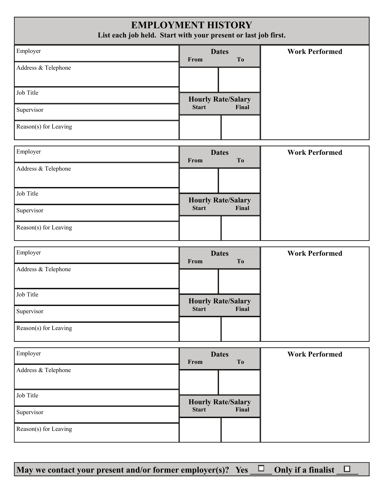### **EMPLOYMENT HISTORY**

**List each job held. Start with your present or last job first.** 

| Employer              | <b>Dates</b><br><b>From</b> | T <sub>0</sub> | <b>Work Performed</b> |
|-----------------------|-----------------------------|----------------|-----------------------|
| Address & Telephone   |                             |                |                       |
| Job Title             | <b>Hourly Rate/Salary</b>   |                |                       |
| Supervisor            | <b>Start</b>                | Final          |                       |
| Reason(s) for Leaving |                             |                |                       |

| Employer              | <b>Dates</b><br>From      | T <sub>0</sub> | <b>Work Performed</b> |
|-----------------------|---------------------------|----------------|-----------------------|
| Address & Telephone   |                           |                |                       |
| Job Title             | <b>Hourly Rate/Salary</b> |                |                       |
| Supervisor            | <b>Start</b>              | Final          |                       |
| Reason(s) for Leaving |                           |                |                       |

| Employer              | <b>Dates</b><br><b>From</b> | T <sub>0</sub> | <b>Work Performed</b> |
|-----------------------|-----------------------------|----------------|-----------------------|
| Address & Telephone   |                             |                |                       |
| Job Title             | <b>Hourly Rate/Salary</b>   |                |                       |
| Supervisor            | <b>Start</b>                | Final          |                       |
| Reason(s) for Leaving |                             |                |                       |

| Employer              | <b>Dates</b><br>From      | To    | <b>Work Performed</b> |
|-----------------------|---------------------------|-------|-----------------------|
| Address & Telephone   |                           |       |                       |
| Job Title             | <b>Hourly Rate/Salary</b> |       |                       |
| Supervisor            | <b>Start</b>              | Final |                       |
| Reason(s) for Leaving |                           |       |                       |

**May** we contact your present and/or former employer(s)? Yes  $\Box$  Only if a finalist  $\Box$